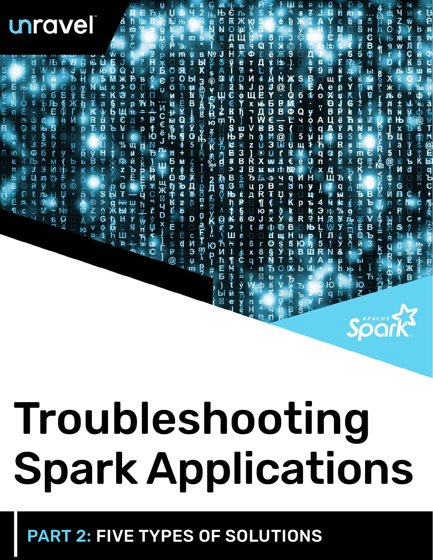## PART 2: FIVE TYPES OF SOLUTIONS

# Troubleshooting Spark Applications

ёНё 2 кпјуба В ЛЦР-14 година Рапара (\* ФК-15 и пеб) 2<br>R **CROAAH W-**unravel &<br>R **RESPACE** SHGB 电日  $\frac{3}{9}$ 8 F-H-N-H  $\frac{S}{N}$ a MX mozarta hyyH+K , ---- plone o-alth m> ド月日 压止 E Ħ d  $\mathbf Q$ - w@ > 四万书 2 孑冰K E 38 × 2頁 E2yK>- 2 12 PI#-FLP PLF 而山宫义曰日 しぶ!れら叩きる\*光 **@ PS THE THE TO DET OF DET TO PO THE THE THE THE THE THE TO THE THE THE TO THE THE THE THE THE THE T** O <u>Й</u>2С@ВҔ\$Ъ№В#>В₲Њђ\$№>Ш21¶ЧŖfи@?  $S_{\ast}$ B 且#YBD€BM3Ⅱw **XXGRBASX** ы "FINSQ¶N++M+M+M+ZEB+Ed **N<br>B<br>W<br>S** 主日中国日  $\mathbf{Q}$  is  $\mathbf{S}$ 何來說民币 JR&FBR x-1Vhz]RBЂЦД□□Фt  $\begin{array}{c}\n\mathbf{B} \\
\mathbf{B}\n\end{array}$ **ДШВ ФОХ ЖБ** Eunic アウドレキトロン ロッシュ きょう A E®<br>⊞ 《□日日 q<br>µ **DATE SAN ビーレータウ XUAIRME** юó **Ъ**<br>| 5 @ 1 1日 - 1000円 - 1000円 - 1000円 - 1000円 **NP-60506294200** Ћ<br>Япх  $0: M \rightarrow \mathbb{Z}$ ∏ Q \* ∏ **Hingki A**<br>Filtra しょう **e**<br>R DOCDDDDDW@< y<br>B∉ **、ヨーヨ※⊠1D×1111** 中国の下地域は Thur-n-regimexer Щ + 505次日日 コ・ロー・ダン の コミッシー 9回四出田的东天家国 ロネキョス中国の多いです es>ves **PR¶PJ#□「8丁B図中 QMK%By \*y&ud** mЪя™№@й3ы - 3 4 7 日 1 io de Maria Bbbbbb3 PHH2公司/NH 6<br>B<br>V<br>V<br>V<br>H D:† : ⊠≺×XE 6万全 1 区工 山下  $\frac{1}{6}$ Ŗ  $\frac{1}{1}$  $\dot{b}$ Ъ<br>Ова  $\overline{\mathbf{q}}$ 

ÿ

E

 $\approx 0.55$ 

**।**<br>б

**THING** 

 $\frac{1}{2}$ 

¢

‰<br>a

ti<br>B<br>B

THOLE

 $q + q$ 

Soork<sup>3</sup>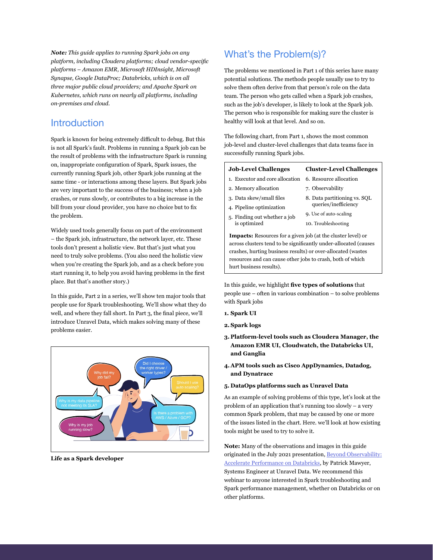*Note: This guide applies to running Spark jobs on any platform, including Cloudera platforms; cloud vendor-specific platforms – Amazon EMR, Microsoft HDInsight, Microsoft Synapse, Google DataProc; Databricks, which is on all three major public cloud providers; and Apache Spark on Kubernetes, which runs on nearly all platforms, including on-premises and cloud.* 

#### **Introduction**

Spark is known for being extremely difficult to debug. But this is not all Spark's fault. Problems in running a Spark job can be the result of problems with the infrastructure Spark is running on, inappropriate configuration of Spark, Spark issues, the currently running Spark job, other Spark jobs running at the same time - or interactions among these layers. But Spark jobs are very important to the success of the business; when a job crashes, or runs slowly, or contributes to a big increase in the bill from your cloud provider, you have no choice but to fix the problem.

Widely used tools generally focus on part of the environment – the Spark job, infrastructure, the network layer, etc. These tools don't present a holistic view. But that's just what you need to truly solve problems. (You also need the holistic view when you're creating the Spark job, and as a check before you start running it, to help you avoid having problems in the first place. But that's another story.)

In this guide, Part 2 in a series, we'll show ten major tools that people use for Spark troubleshooting. We'll show what they do well, and where they fall short. In Part 3, the final piece, we'll introduce Unravel Data, which makes solving many of these problems easier.



**Life as a Spark developer**

#### What's the Problem(s)?

The problems we mentioned in Part 1 of this series have many potential solutions. The methods people usually use to try to solve them often derive from that person's role on the data team. The person who gets called when a Spark job crashes, such as the job's developer, is likely to look at the Spark job. The person who is responsible for making sure the cluster is healthy will look at that level. And so on.

The following chart, from Part 1, shows the most common job-level and cluster-level challenges that data teams face in successfully running Spark jobs.

#### **Job-Level Challenges** 1. Executor and core allocation **Cluster-Level Challenges** 6. Resource allocation

- 2. Memory allocation
- 3. Data skew/small files
- 4. Pipeline optimization
- 5. Finding out whether a job
- 7. Observability
- 
- 
- is optimized
- 8. Data partitioning vs. SQL queries/inefficiency
- 9. Use of auto-scaling 10. Troubleshooting

**Impacts:** Resources for a given job (at the cluster level) or across clusters tend to be significantly under-allocated (causes crashes, hurting business results) or over-allocated (wastes resources and can cause other jobs to crash, both of which hurt business results).

In this guide, we highlight **five types of solutions** that people use – often in various combination – to solve problems with Spark jobs

- **1. Spark UI**
- **2. Spark logs**
- **3. Platform-level tools such as Cloudera Manager, the Amazon EMR UI, Cloudwatch, the Databricks UI, and Ganglia**
- **4.APM tools such as Cisco AppDynamics, Datadog, and Dynatrace**
- **5. DataOps platforms such as Unravel Data**

As an example of solving problems of this type, let's look at the problem of an application that's running too slowly – a very common Spark problem, that may be caused by one or more of the issues listed in the chart. Here. we'll look at how existing tools might be used to try to solve it.

**Note:** Many of the observations and images in this guide originated in the July 2021 presentation, Beyond [Observability:](https://www.brighttalk.com/webcast/17674/492826) [Accelerate Performance on Databricks](https://www.brighttalk.com/webcast/17674/492826), by Patrick Mawyer, Systems Engineer at Unravel Data. We recommend this webinar to anyone interested in Spark troubleshooting and Spark performance management, whether on Databricks or on other platforms.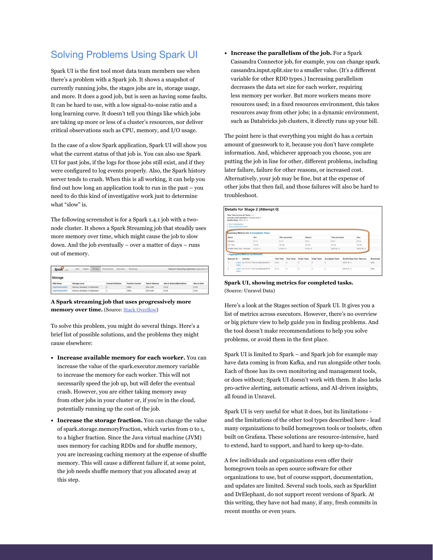### Solving Problems Using Spark UI

Spark UI is the first tool most data team members use when there's a problem with a Spark job. It shows a snapshot of currently running jobs, the stages jobs are in, storage usage, and more. It does a good job, but is seen as having some faults. It can be hard to use, with a low signal-to-noise ratio and a long learning curve. It doesn't tell you things like which jobs are taking up more or less of a cluster's resources, nor deliver critical observations such as CPU, memory, and I/O usage.

In the case of a slow Spark application, Spark UI will show you what the current status of that job is. You can also use Spark UI for past jobs, if the logs for those jobs still exist, and if they were configured to log events properly. Also, the Spark history server tends to crash. When this is all working, it can help you find out how long an application took to run in the past – you need to do this kind of investigative work just to determine what "slow" is.

The following screenshot is for a Spark 1.4.1 job with a twonode cluster. It shows a Spark Streaming job that steadily uses more memory over time, which might cause the job to slow down. And the job eventually – over a matter of days – runs out of memory.

| Spark<br>1.4.1   | <b>Jobs</b><br>Stages           | Storage | Environment<br><b>Executors</b> | Streaming              |                | Network Streaming Application application UI |                     |
|------------------|---------------------------------|---------|---------------------------------|------------------------|----------------|----------------------------------------------|---------------------|
| <b>Storage</b>   |                                 |         |                                 |                        |                |                                              |                     |
| <b>RDD Name</b>  | <b>Storage Level</b>            |         | <b>Cached Partitions</b>        | <b>Fraction Cached</b> | Size in Memory | Size in ExternalBlockStore                   | <b>Size on Disk</b> |
| MapPartitionsRDD | Memory Serialized 1x Replicated |         |                                 | 100%                   | 858.4 MB       | 0.0 B                                        | 0.0B                |
|                  |                                 |         |                                 |                        |                |                                              |                     |

**A Spark streaming job that uses progressively more**  memory over time. (Source: **Stack [Overflow](https://stackoverflow.com/questions/35478223/size-in-memory-under-storage-tab-of-spark-ui-showing-increase-in-ram-usage-ove)**)

To solve this problem, you might do several things. Here's a brief list of possible solutions, and the problems they might cause elsewhere:

- **• Increase available memory for each worker.** You can increase the value of the spark.executor.memory variable to increase the memory for each worker. This will not necessarily speed the job up, but will defer the eventual crash. However, you are either taking memory away from other jobs in your cluster or, if you're in the cloud, potentially running up the cost of the job.
- **• Increase the storage fraction.** You can change the value of spark.storage.memoryFraction, which varies from 0 to 1, to a higher fraction. Since the Java virtual machine (JVM) uses memory for caching RDDs and for shuffle memory, you are increasing caching memory at the expense of shuffle memory. This will cause a different failure if, at some point, the job needs shuffle memory that you allocated away at this step.

**• Increase the parallelism of the job.** For a Spark Cassandra Connector job, for example, you can change spark. cassandra.input.split.size to a smaller value. (It's a different variable for other RDD types.) Increasing parallelism decreases the data set size for each worker, requiring less memory per worker. But more workers means more resources used; in a fixed resources environment, this takes resources away from other jobs; in a dynamic environment, such as Databricks job clusters, it directly runs up your bill.

The point here is that everything you might do has a certain amount of guesswork to it, because you don't have complete information. And, whichever approach you choose, you are putting the job in line for other, different problems, including later failure, failure for other reasons, or increased cost. Alternatively, your job may be fine, but at the expense of other jobs that then fail, and those failures will also be hard to troubleshoot.

|                                       | Shuffle Read: 500.0 B / 4                                         | Total Time Across All Tasks: 1 s.<br>Locality Level Summary: Process local: 8 |                                           |                  |                    |                     |                  |                        |                             |                    |
|---------------------------------------|-------------------------------------------------------------------|-------------------------------------------------------------------------------|-------------------------------------------|------------------|--------------------|---------------------|------------------|------------------------|-----------------------------|--------------------|
| > Forest-Six                          | <b>• DAG Visualization</b><br><b>&gt; Show Additional Metrics</b> |                                                                               | Summary Metrics for 8 Completed Tasks     |                  |                    |                     |                  |                        |                             |                    |
| Metric<br>Min                         |                                                                   | 25th percentile                                                               |                                           |                  | Median             | 75th percentile     | Max              |                        |                             |                    |
| Duration<br>0.15                      |                                                                   | 0.1 s                                                                         |                                           |                  | 0.15               | 0.2 s               | 0.25             |                        |                             |                    |
| GC Time                               | $28 \text{ ms}$                                                   |                                                                               |                                           | 28 ms            |                    | $29 \text{ ms}$     | 29 <sub>ms</sub> | 29 ms                  |                             |                    |
| Shuffle Read Stre / Records<br>0.0810 |                                                                   | 0.0810                                                                        |                                           | 0.08/0           |                    | 250.0 B / 2         | 250.0 B/2        |                        |                             |                    |
|                                       |                                                                   |                                                                               | - Addredated Metrics by Executor          |                  |                    |                     |                  |                        |                             |                    |
|                                       | Executor ID -                                                     | <b>Address</b>                                                                |                                           | <b>Task Time</b> | <b>Total Tasks</b> | <b>Failed Tasks</b> | Killed Tasks     | <b>Succeeded Tasks</b> | Shuffle Read Size / Records | <b>Riacklisted</b> |
|                                       | stdern                                                            |                                                                               | stdout ip-172-31-5-195.ec2.internal.44311 | ORe              |                    | $\circ$             | ö                |                        | 250 0 B / 2                 | fabus              |
| $\overline{2}$                        | stdeer                                                            |                                                                               | stdout ip-172-31-13-43.ec2.internal:38141 | 0.7s             |                    | $\circ$             | $\circ$          |                        | 250.0 B / 2                 | false              |

**Spark UI, showing metrics for completed tasks.**  (Source: Unravel Data)

Here's a look at the Stages section of Spark UI. It gives you a list of metrics across executors. However, there's no overview or big picture view to help guide you in finding problems. And the tool doesn't make recommendations to help you solve problems, or avoid them in the first place.

Spark UI is limited to Spark – and Spark job for example may have data coming in from Kafka, and run alongside other tools. Each of those has its own monitoring and management tools, or does without; Spark UI doesn't work with them. It also lacks pro-active alerting, automatic actions, and AI-driven insights, all found in Unravel.

Spark UI is very useful for what it does, but its limitations and the limitations of the other tool types described here - lead many organizations to build homegrown tools or toolsets, often built on Grafana. These solutions are resource-intensive, hard to extend, hard to support, and hard to keep up-to-date.

A few individuals and organizations even offer their homegrown tools as open source software for other organizations to use, but of course support, documentation, and updates are limited. Several such tools, such as Sparklint and DrElephant, do not support recent versions of Spark. At this writing, they have not had many, if any, fresh commits in recent months or even years.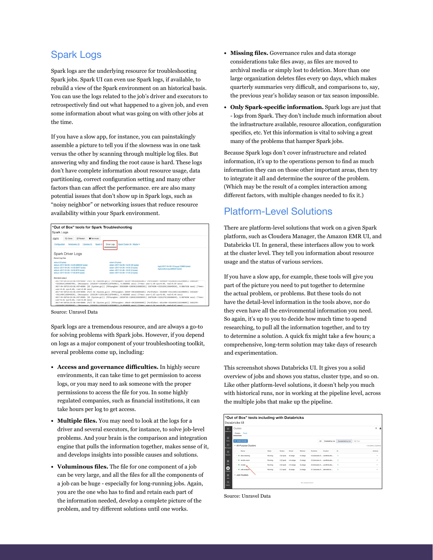#### Spark Logs

Spark logs are the underlying resource for troubleshooting Spark jobs. Spark UI can even use Spark logs, if available, to rebuild a view of the Spark environment on an historical basis. You can use the logs related to the job's driver and executors to retrospectively find out what happened to a given job, and even some information about what was going on with other jobs at the time.

If you have a slow app, for instance, you can painstakingly assemble a picture to tell you if the slowness was in one task versus the other by scanning through multiple log files. But answering why and finding the root cause is hard. These logs don't have complete information about resource usage, data partitioning, correct configuration setting and many other factors than can affect the performance. ere are also many potential issues that don't show up in Spark logs, such as "noisy neighbor" or networking issues that reduce resource availability within your Spark environment.

| "Out of Box" tools for Spark Troubleshooting<br>Spark Logs                                                                                                                             |                                                                                                                                                                                                                                                                                                                                                                                     |                                                                                                                                                                                                                                                                                                                                                                                                                                                                                                                                                                                                                                                                                                                                    |
|----------------------------------------------------------------------------------------------------------------------------------------------------------------------------------------|-------------------------------------------------------------------------------------------------------------------------------------------------------------------------------------------------------------------------------------------------------------------------------------------------------------------------------------------------------------------------------------|------------------------------------------------------------------------------------------------------------------------------------------------------------------------------------------------------------------------------------------------------------------------------------------------------------------------------------------------------------------------------------------------------------------------------------------------------------------------------------------------------------------------------------------------------------------------------------------------------------------------------------------------------------------------------------------------------------------------------------|
| 2 Clone<br>C Restart<br><b>El</b> Terminate<br>ram<br>Configuration<br>Notebooks (2)<br>Libraries (1)                                                                                  | Spark Cluster UI - Master -<br>Spark UI<br>Driver Logs                                                                                                                                                                                                                                                                                                                              |                                                                                                                                                                                                                                                                                                                                                                                                                                                                                                                                                                                                                                                                                                                                    |
| Spark Driver Logs<br>Recent log files                                                                                                                                                  |                                                                                                                                                                                                                                                                                                                                                                                     |                                                                                                                                                                                                                                                                                                                                                                                                                                                                                                                                                                                                                                                                                                                                    |
| stdout (i) bytes)<br>stdout--2017-04-26--14-00 (206532 bytes)<br>stdout-2017-04-26--15-00 /9377 bytes)<br>stdout-2017-04-26--16-00 (876 bytes)<br>stdout--2017-04-26--17-00 @76 bytest | stderr (0 bytes)<br>stderr--2017-04-26--14-00 (95 bytes)<br>stden-2017-04-26--15-00 (0 bytes)<br>stderr -- 2017-04-26 -- 16-00 (0 bytes)<br>stden-2017-04-26--17-00 (0 bytes)                                                                                                                                                                                                       | log4i-2017-04-26-13.log.gz (15993 bytes)<br>log4j-active.log (396354 bytes)                                                                                                                                                                                                                                                                                                                                                                                                                                                                                                                                                                                                                                                        |
| Standard output<br>user=0.01 sys=0.00, real=0.00 secs]<br>user=0.01 sys=0.00, real=0.00 secs]                                                                                          | >331081K(19608576K), [Metaspace: 155261K->155261K(1187840K)], 0.5868802 secs] [Times: user=1.98 sys=0.00, real=0.59 secs]<br>>331146K(19604992K), [Metaspace: 155313K->155313K(1187840K)], 0.4826885 secs] [Times: user=1.63 sys=0.00, real=0.48 secs]<br>>331043K/19620864K), [Metasoace: 155341K->155341K/1187840K)], 0.4644620 secs] [Times: user=1.54 sys=0.00, real=0.47 secs] | ZU1/~Un~Zbii3i23i38.999*UUUS: [FULL UL [3YStem.gC()] [P310Unguen: ZU13h~PUh(b3b3b1bA)] [ParULOUEN: 33998Zh~7331UB1h(132299bUh)] 330913h~<br>2017-04-26T15:53:58.487+0000: [GC (System.gc()) [PSYoungGen: 2036368K->2093K(6380032K)] 2367450K->333182K(19694992K), 0.0067628 secs] [Times:<br>2017-04-26T15:53:58.494+0000: [Full GC (System.gc()) [PSYoungGen: 2093K->0K(6380032K)] [ParOldGen: 331089K->331146K(13224960K)] 333182K-<br>2017-04-26T16:23:58.487+0000: [GC (System.gc()) [PSYoungGen: 1955871K->1981K(6395904K)] 2287018K->333127K(19620864K), 0.0070938 secs] [Times:<br>2017-04-26T16:23:58.495+0000: [Full GC (System.gc()) [PSYoungGen: 1981K->0K(6395904K)] [ParOldGen: 331146K->331043K(13224960K)] 333127K- |

Source: Unravel Data

Spark logs are a tremendous resource, and are always a go-to for solving problems with Spark jobs. However, if you depend on logs as a major component of your troubleshooting toolkit, several problems come up, including:

- **• Access and governance difficulties.** In highly secure environments, it can take time to get permission to access logs, or you may need to ask someone with the proper permissions to access the file for you. In some highly regulated companies, such as financial institutions, it can take hours per log to get access.
- **• Multiple files.** You may need to look at the logs for a driver and several executors, for instance, to solve job-level problems. And your brain is the comparison and integration engine that pulls the information together, makes sense of it, and develops insights into possible causes and solutions.
- **• Voluminous files.** The file for one component of a job can be very large, and all the files for all the components of a job can be huge - especially for long-running jobs. Again, you are the one who has to find and retain each part of the information needed, develop a complete picture of the problem, and try different solutions until one works.
- **• Missing files.** Governance rules and data storage considerations take files away, as files are moved to archival media or simply lost to deletion. More than one large organization deletes files every 90 days, which makes quarterly summaries very difficult, and comparisons to, say, the previous year's holiday season or tax season impossible.
- **• Only Spark-specific information.** Spark logs are just that - logs from Spark. They don't include much information about the infrastructure available, resource allocation, configuration specifics, etc. Yet this information is vital to solving a great many of the problems that hamper Spark jobs.

Because Spark logs don't cover infrastructure and related information, it's up to the operations person to find as much information they can on those other important areas, then try to integrate it all and determine the source of the problem. (Which may be the result of a complex interaction among different factors, with multiple changes needed to fix it.)

#### **Platform-Level Solutions**

There are platform-level solutions that work on a given Spark platform, such as Cloudera Manager, the Amazon EMR UI, and Databricks UI. In general, these interfaces allow you to work at the cluster level. They tell you information about resource usage and the status of various services.

If you have a slow app, for example, these tools will give you part of the picture you need to put together to determine the actual problem, or problems. But these tools do not have the detail-level information in the tools above, nor do they even have all the environmental information you need. So again, it's up to you to decide how much time to spend researching, to pull all the information together, and to try to determine a solution. A quick fix might take a few hours; a comprehensive, long-term solution may take days of research and experimentation.

This screenshot shows Databricks UI. It gives you a solid overview of jobs and shows you status, cluster type, and so on. Like other platform-level solutions, it doesn't help you much with historical runs, nor in working at the pipeline level, across the multiple jobs that make up the pipeline.

|                                          | Databricks UI              |         |              |           |                   |                |       |                                |                  |           |                            |
|------------------------------------------|----------------------------|---------|--------------|-----------|-------------------|----------------|-------|--------------------------------|------------------|-----------|----------------------------|
| $\circ$                                  | Clusters                   |         |              |           |                   |                |       |                                |                  |           | $\Delta$<br>$\overline{ }$ |
| <b>AMMERIAN</b>                          | Clusters Pools             |         |              |           |                   |                |       |                                |                  |           |                            |
| п<br>Home                                | + Create Cluster           |         |              |           |                   |                | All - | Created by me                  | Accessible by me | Q. Filter |                            |
| $\triangleright$<br>ежновое              | - All-Purpose Clusters     |         |              |           |                   |                |       |                                |                  |           | 4 clusters, 0 pinned       |
| $\circ$                                  | Name                       | State   | Nodes        | Driver    | Worker            | <b>Runtime</b> |       | Creator                        | B                |           | Actions                    |
| <b>Recents</b>                           | <sup>8</sup> data-cleaning | Running | 3 (2 spot)   | (3.xlame) | 13.vlarge         |                |       | 6.3 Includes A., user@ntudio   | $\circ$          |           | $\sim$                     |
| п                                        | · · returbiousness         | Running | 3 (2 spot)   | m4.xlarge | 13.vlarge         |                |       | 6.3 (noludes A., user@rstudio  | $\alpha$         |           | $\sim$                     |
| Data                                     | <b>a</b> estudio           | Running | $3.02$ spots | m4.xlarge | 13. darge         |                |       | 6.3 (nolution A., user@ratudio | ۰                |           | $\sim$                     |
| O<br>Custors                             | ٠<br>x<br>web-analysis     | Running | 2 (1 spot)   | (3.xlarge | 13.vlarge         |                |       | 6.1 Encludes A., admin@rstu    | $\circ$          |           | <b>Volume</b>              |
| $\blacksquare$                           | - Job Clusters             |         |              |           |                   |                |       |                                |                  |           |                            |
| <b>John</b><br>$\alpha$<br><b>Gearch</b> |                            |         |              |           | No clusters found |                |       |                                |                  |           |                            |

Source: Unravel Data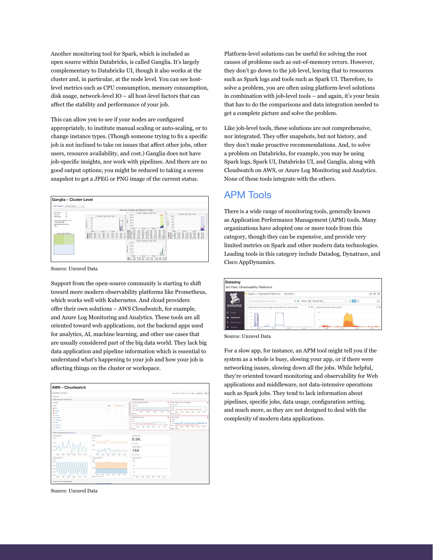Another monitoring tool for Spark, which is included as open source within Databricks, is called Ganglia. It's largely complementary to Databricks UI, though it also works at the cluster and, in particular, at the node level. You can see hostlevel metrics such as CPU consumption, memory consumption, disk usage, network-level IO – all host-level factors that can affect the stability and performance of your job.

This can allow you to see if your nodes are configured appropriately, to institute manual scaling or auto-scaling, or to change instance types. (Though someone trying to fix a specific job is not inclined to take on issues that affect other jobs, other users, resource availability, and cost.) Ganglia does not have job-specific insights, nor work with pipelines. And there are no good output options; you might be reduced to taking a screen snapshot to get a JPEG or PNG image of the current status.



Source: Unravel Data

Support from the open-source community is starting to shift toward more modern observability platforms like Prometheus, which works well with Kubernetes. And cloud providers offer their own solutions – AWS Cloudwatch, for example, and Azure Log Monitoring and Analytics. These tools are all oriented toward web applications, not the backend apps used for analytics, AI, machine learning, and other use cases that are usually considered part of the big data world. They lack big data application and pipeline information which is essential to understand what's happening to your job and how your job is affecting things on the cluster or workspace.



Source: Unravel Data

Platform-level solutions can be useful for solving the root causes of problems such as out-of-memory errors. However, they don't go down to the job level, leaving that to resources such as Spark logs and tools such as Spark UI. Therefore, to solve a problem, you are often using platform-level solutions in combination with job-level tools – and again, it's your brain that has to do the comparisons and data integration needed to get a complete picture and solve the problem.

Like job-level tools, these solutions are not comprehensive, nor integrated. They offer snapshots, but not history, and they don't make proactive recommendations. And, to solve a problem on Databricks, for example, you may be using Spark logs, Spark UI, Databricks UI, and Ganglia, along with Cloudwatch on AWS, or Azure Log Monitoring and Analytics. None of these tools integrate with the others.

#### APM Tools

There is a wide range of monitoring tools, generally known as Application Performance Management (APM) tools. Many organizations have adopted one or more tools from this category, though they can be expensive, and provide very limited metrics on Spark and other modern data technologies. Leading tools in this category include Datadog, Dynatrace, and Cisco AppDynamics.

| Datadog                                | 3rd Party Observability Platforms                                                               |                            |
|----------------------------------------|-------------------------------------------------------------------------------------------------|----------------------------|
|                                        | Spark + Standard Metrics<br>Add Graphs +                                                        | $\cup$ 0 0                 |
|                                        | Show 1h The Past Hour<br>O <sub>o</sub><br>Q. Search Events to overlay<br>۰                     | $\square$<br>$\mathcal{V}$ |
| <b>DATADOG</b>                         | 19<br>spark.job.num_active_stages, spark.job.num_active_tasks<br>system.cpu.idle, system.load.1 | $\lambda$                  |
| $\blacksquare$<br>Events               |                                                                                                 |                            |
| <b>Dashboards</b>                      |                                                                                                 |                            |
| Infrastructure<br>$\Omega$<br>Monitors | 1830<br>1800<br>13.45<br>11.15<br>13.00<br>13:15                                                | 13.35<br>13.45             |

Source: Unravel Data

For a slow app, for instance, an APM tool might tell you if the system as a whole is busy, slowing your app, or if there were networking issues, slowing down all the jobs. While helpful, they're oriented toward monitoring and observability for Web applications and middleware, not data-intensive operations such as Spark jobs. They tend to lack information about pipelines, specific jobs, data usage, configuration setting, and much more, as they are not designed to deal with the complexity of modern data applications.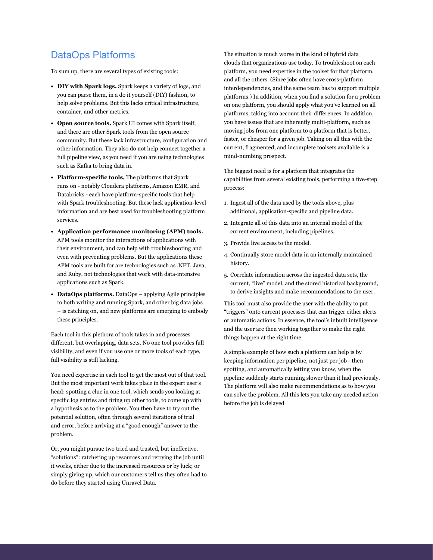#### DataOps Platforms

To sum up, there are several types of existing tools:

- **• DIY with Spark logs.** Spark keeps a variety of logs, and you can parse them, in a do it yourself (DIY) fashion, to help solve problems. But this lacks critical infrastructure, container, and other metrics.
- **• Open source tools.** Spark UI comes with Spark itself, and there are other Spark tools from the open source community. But these lack infrastructure, configuration and other information. They also do not help connect together a full pipeline view, as you need if you are using technologies such as Kafka to bring data in.
- **• Platform-specific tools.** The platforms that Spark runs on - notably Cloudera platforms, Amazon EMR, and Databricks - each have platform-specific tools that help with Spark troubleshooting. But these lack application-level information and are best used for troubleshooting platform services.
- **• Application performance monitoring (APM) tools.** APM tools monitor the interactions of applications with their environment, and can help with troubleshooting and even with preventing problems. But the applications these APM tools are built for are technologies such as .NET, Java, and Ruby, not technologies that work with data-intensive applications such as Spark.
- **• DataOps platforms.** DataOps applying Agile principles to both writing and running Spark, and other big data jobs – is catching on, and new platforms are emerging to embody these principles.

Each tool in this plethora of tools takes in and processes different, but overlapping, data sets. No one tool provides full visibility, and even if you use one or more tools of each type, full visibility is still lacking.

You need expertise in each tool to get the most out of that tool. But the most important work takes place in the expert user's head: spotting a clue in one tool, which sends you looking at specific log entries and firing up other tools, to come up with a hypothesis as to the problem. You then have to try out the potential solution, often through several iterations of trial and error, before arriving at a "good enough" answer to the problem.

Or, you might pursue two tried and trusted, but ineffective, "solutions": ratcheting up resources and retrying the job until it works, either due to the increased resources or by luck; or simply giving up, which our customers tell us they often had to do before they started using Unravel Data.

The situation is much worse in the kind of hybrid data clouds that organizations use today. To troubleshoot on each platform, you need expertise in the toolset for that platform, and all the others. (Since jobs often have cross-platform interdependencies, and the same team has to support multiple platforms.) In addition, when you find a solution for a problem on one platform, you should apply what you've learned on all platforms, taking into account their differences. In addition, you have issues that are inherently multi-platform, such as moving jobs from one platform to a platform that is better, faster, or cheaper for a given job. Taking on all this with the current, fragmented, and incomplete toolsets available is a mind-numbing prospect.

The biggest need is for a platform that integrates the capabilities from several existing tools, performing a five-step process:

- 1. Ingest all of the data used by the tools above, plus additional, application-specific and pipeline data.
- 2. Integrate all of this data into an internal model of the current environment, including pipelines.
- 3. Provide live access to the model.
- 4. Continually store model data in an internally maintained history.
- 5. Correlate information across the ingested data sets, the current, "live" model, and the stored historical background, to derive insights and make recommendations to the user.

This tool must also provide the user with the ability to put "triggers" onto current processes that can trigger either alerts or automatic actions. In essence, the tool's inbuilt intelligence and the user are then working together to make the right things happen at the right time.

A simple example of how such a platform can help is by keeping information per pipeline, not just per job - then spotting, and automatically letting you know, when the pipeline suddenly starts running slower than it had previously. The platform will also make recommendations as to how you can solve the problem. All this lets you take any needed action before the job is delayed